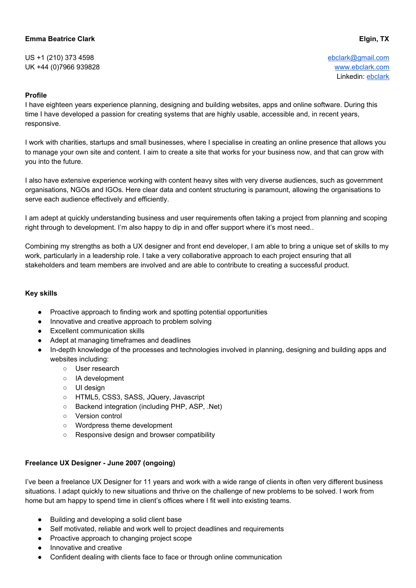## **Emma Beatrice Clark**

US +1 (210) 373 4598 UK +44 (0)7966 939828 [ebclark@gmail.com](mailto:ebclark@gmail.com) [www.ebclark.com](http://www.ebclark.co.uk/) Linkedin: [ebclark](https://www.linkedin.com/in/ebclark/)

## **Profile**

I have eighteen years experience planning, designing and building websites, apps and online software. During this time I have developed a passion for creating systems that are highly usable, accessible and, in recent years, responsive.

I work with charities, startups and small businesses, where I specialise in creating an online presence that allows you to manage your own site and content. I aim to create a site that works for your business now, and that can grow with you into the future.

I also have extensive experience working with content heavy sites with very diverse audiences, such as government organisations, NGOs and IGOs. Here clear data and content structuring is paramount, allowing the organisations to serve each audience effectively and efficiently.

I am adept at quickly understanding business and user requirements often taking a project from planning and scoping right through to development. I'm also happy to dip in and offer support where it's most need..

Combining my strengths as both a UX designer and front end developer, I am able to bring a unique set of skills to my work, particularly in a leadership role. I take a very collaborative approach to each project ensuring that all stakeholders and team members are involved and are able to contribute to creating a successful product.

### **Key skills**

- Proactive approach to finding work and spotting potential opportunities
- Innovative and creative approach to problem solving
- Excellent communication skills
- Adept at managing timeframes and deadlines
- In-depth knowledge of the processes and technologies involved in planning, designing and building apps and websites including:
	- User research
	- IA development
	- UI design
	- HTML5, CSS3, SASS, JQuery, Javascript
	- Backend integration (including PHP, ASP, .Net)
	- Version control
	- Wordpress theme development
	- Responsive design and browser compatibility

### **Freelance UX Designer - June 2007 (ongoing)**

I've been a freelance UX Designer for 11 years and work with a wide range of clients in often very different business situations. I adapt quickly to new situations and thrive on the challenge of new problems to be solved. I work from home but am happy to spend time in client's offices where I fit well into existing teams.

- Building and developing a solid client base
- Self motivated, reliable and work well to project deadlines and requirements
- Proactive approach to changing project scope
- Innovative and creative
- Confident dealing with clients face to face or through online communication

# **Elgin, TX**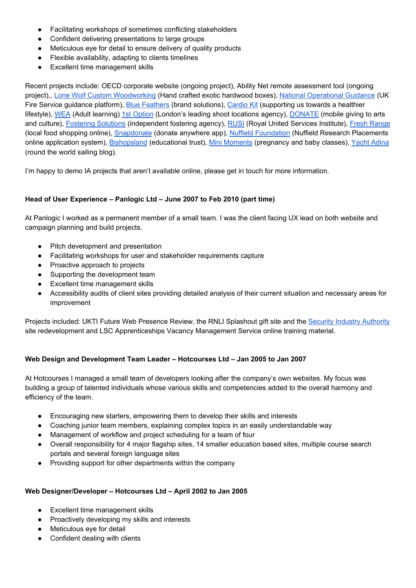- Facilitating workshops of sometimes conflicting stakeholders
- Confident delivering presentations to large groups
- Meticulous eye for detail to ensure delivery of quality products
- Flexible availability, adapting to clients timelines
- Excellent time management skills

Recent projects include: OECD corporate website (ongoing project), Ability Net remote assessment tool (ongoing project),, Lone Wolf Custom [Woodworking](http://lonewolfranchtexas.com/) (Hand crafted exotic hardwood boxes), National [Operational](https://www.ukfrs.com/) Guidance (UK Fire Service guidance platform), **Blue [Feathers](https://www.bluefeathers.co.uk/)** (brand solutions), [Cardio](https://www.cardiologistskitchen.com/) Kit (supporting us towards a healthier lifestyle), [WEA](https://www.wea.org.uk/) (Adult learning) 1st [Option](http://www.1st-option.com/) (London's leading shoot locations agency), [DONATE](https://platform.nationalfundingscheme.org/) (mobile giving to arts and culture), [Fostering](http://www.fosteringsolutions.com/) Solutions (independent fostering agency), [RUSI](https://rusi.org/) (Royal United Services Institute), Fresh [Range](https://www.fresh-range.com/) (local food shopping online), [Snapdonate](http://snapdonate.org/) (donate anywhere app), Nuffield [Foundation](http://www.nuffieldresearchplacements.org/) (Nuffield Research Placements online application system), **[Bishopsland](http://bishopsland.org.uk/)** (educational trust), *Mini [Moments](http://www.minimoments.co.uk/)* (pregnancy and baby classes), Yacht [Adina](http://yachtadina.co.uk/) (round the world sailing blog).

I'm happy to demo IA projects that aren't available online, please get in touch for more information.

# **Head of User Experience – Panlogic Ltd – June 2007 to Feb 2010 (part time)**

At Panlogic I worked as a permanent member of a small team. I was the client facing UX lead on both website and campaign planning and build projects.

- Pitch development and presentation
- Facilitating workshops for user and stakeholder requirements capture
- Proactive approach to projects
- Supporting the development team
- Excellent time management skills
- Accessibility audits of client sites providing detailed analysis of their current situation and necessary areas for improvement

Proj[e](http://www.sia.homeoffice.gov.uk/Pages/home.aspx)cts included: UKTI Future Web Presence Review, the RNLI Splashout gift site and the Security Industry [Authority](http://www.sia.homeoffice.gov.uk/Pages/home.aspx) site redevelopment and LSC Apprenticeships Vacancy Management Service online training material.

# **Web Design and Development Team Leader – Hotcourses Ltd – Jan 2005 to Jan 2007**

At Hotcourses I managed a small team of developers looking after the company's own websites. My focus was building a group of talented individuals whose various skills and competencies added to the overall harmony and efficiency of the team.

- Encouraging new starters, empowering them to develop their skills and interests
- Coaching junior team members, explaining complex topics in an easily understandable way
- Management of workflow and project scheduling for a team of four
- Overall responsibility for 4 major flagship sites, 14 smaller education based sites, multiple course search portals and several foreign language sites
- Providing support for other departments within the company

### **Web Designer/Developer – Hotcourses Ltd – April 2002 to Jan 2005**

- Excellent time management skills
- Proactively developing my skills and interests
- Meticulous eye for detail
- Confident dealing with clients